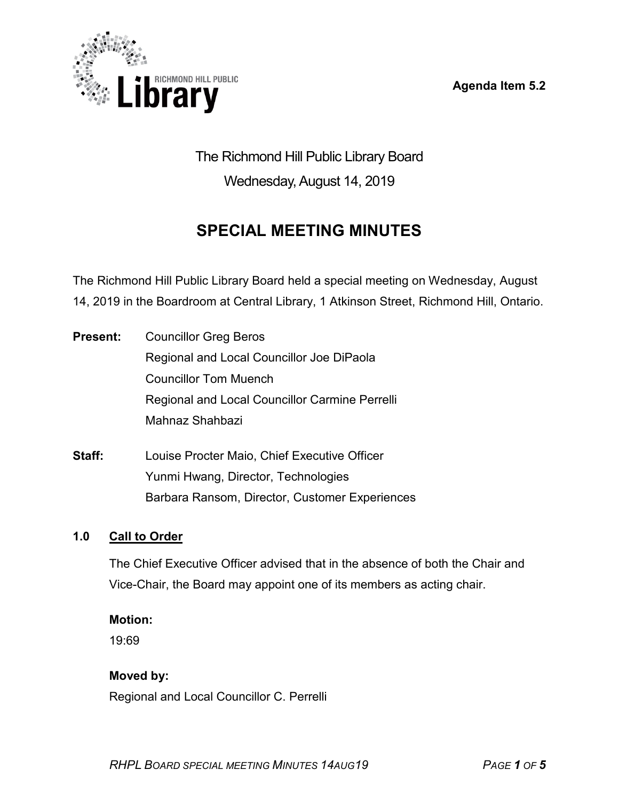**Agenda Item 5.2**



The Richmond Hill Public Library Board Wednesday, August 14, 2019

# **SPECIAL MEETING MINUTES**

The Richmond Hill Public Library Board held a special meeting on Wednesday, August 14, 2019 in the Boardroom at Central Library, 1 Atkinson Street, Richmond Hill, Ontario.

**Present:** Councillor Greg Beros Regional and Local Councillor Joe DiPaola Councillor Tom Muench Regional and Local Councillor Carmine Perrelli Mahnaz Shahbazi

**Staff:** Louise Procter Maio, Chief Executive Officer Yunmi Hwang, Director, Technologies Barbara Ransom, Director, Customer Experiences

#### **1.0 Call to Order**

The Chief Executive Officer advised that in the absence of both the Chair and Vice-Chair, the Board may appoint one of its members as acting chair.

#### **Motion:**

19:69

#### **Moved by:**

Regional and Local Councillor C. Perrelli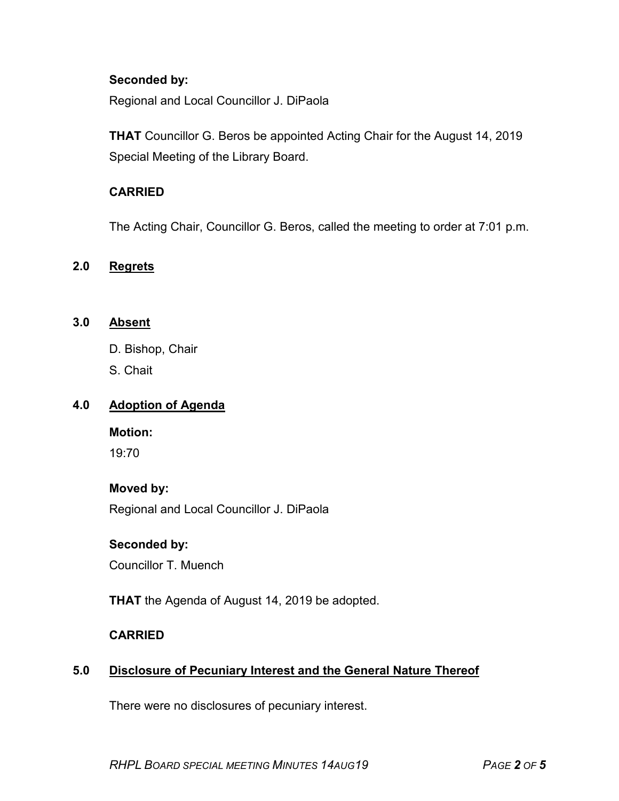#### **Seconded by:**

Regional and Local Councillor J. DiPaola

**THAT** Councillor G. Beros be appointed Acting Chair for the August 14, 2019 Special Meeting of the Library Board.

#### **CARRIED**

The Acting Chair, Councillor G. Beros, called the meeting to order at 7:01 p.m.

#### **2.0 Regrets**

#### **3.0 Absent**

- D. Bishop, Chair
- S. Chait

#### **4.0 Adoption of Agenda**

#### **Motion:**

19:70

#### **Moved by:**

Regional and Local Councillor J. DiPaola

#### **Seconded by:**

Councillor T. Muench

**THAT** the Agenda of August 14, 2019 be adopted.

#### **CARRIED**

#### **5.0 Disclosure of Pecuniary Interest and the General Nature Thereof**

There were no disclosures of pecuniary interest.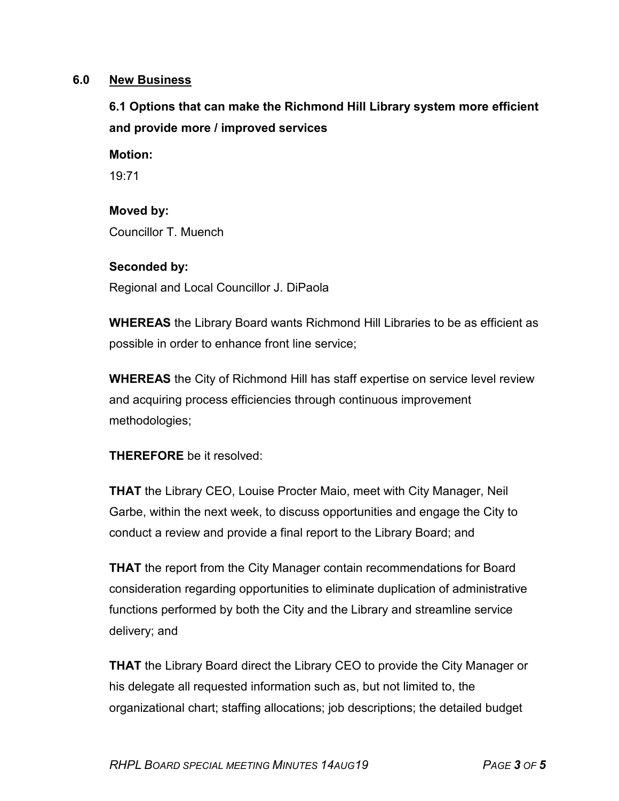#### **6.0 New Business**

# **6.1 Options that can make the Richmond Hill Library system more efficient and provide more / improved services**

#### **Motion:**

19:71

# **Moved by:** Councillor T. Muench

#### **Seconded by:**

Regional and Local Councillor J. DiPaola

**WHEREAS** the Library Board wants Richmond Hill Libraries to be as efficient as possible in order to enhance front line service;

**WHEREAS** the City of Richmond Hill has staff expertise on service level review and acquiring process efficiencies through continuous improvement methodologies;

#### **THEREFORE** be it resolved:

**THAT** the Library CEO, Louise Procter Maio, meet with City Manager, Neil Garbe, within the next week, to discuss opportunities and engage the City to conduct a review and provide a final report to the Library Board; and

**THAT** the report from the City Manager contain recommendations for Board consideration regarding opportunities to eliminate duplication of administrative functions performed by both the City and the Library and streamline service delivery; and

**THAT** the Library Board direct the Library CEO to provide the City Manager or his delegate all requested information such as, but not limited to, the organizational chart; staffing allocations; job descriptions; the detailed budget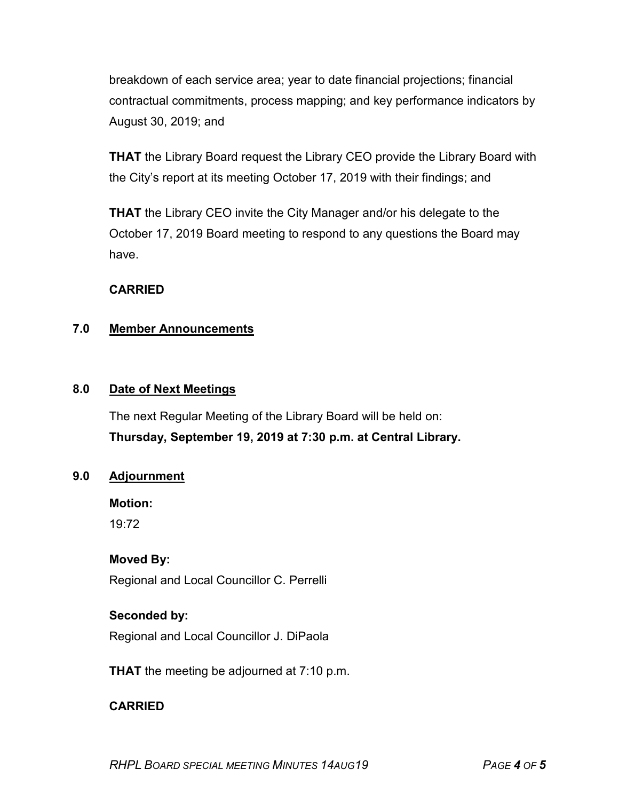breakdown of each service area; year to date financial projections; financial contractual commitments, process mapping; and key performance indicators by August 30, 2019; and

**THAT** the Library Board request the Library CEO provide the Library Board with the City's report at its meeting October 17, 2019 with their findings; and

**THAT** the Library CEO invite the City Manager and/or his delegate to the October 17, 2019 Board meeting to respond to any questions the Board may have.

#### **CARRIED**

#### **7.0 Member Announcements**

#### **8.0 Date of Next Meetings**

The next Regular Meeting of the Library Board will be held on: **Thursday, September 19, 2019 at 7:30 p.m. at Central Library.**

#### **9.0 Adjournment**

**Motion:**  19:72

## **Moved By:**

Regional and Local Councillor C. Perrelli

### **Seconded by:**

Regional and Local Councillor J. DiPaola

**THAT** the meeting be adjourned at 7:10 p.m.

## **CARRIED**